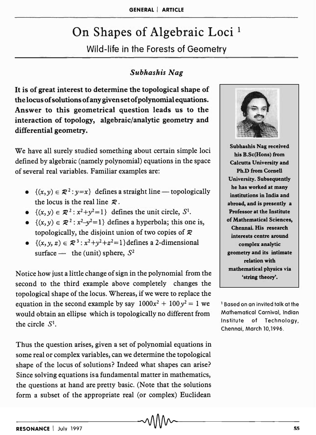# On Shapes of Algebraic Loci<sup>1</sup>

Wild-life in the Forests of Geometry

## *Subhashis Nag*

It is of great interest to determine the topological shape of the locus of solutions of any given set of polynomial equations. Answer to this geometrical question leads us to the interaction of topology, algebraic/analytic geometry and differential geometry.

We have all surely studied something about certain simple loci defined by algebraic (namely polynomial) equations in the space of several real variables. Familiar examples are:

- $\{(x, y) \in \mathbb{R}^2 : y = x\}$  defines a straight line topologically the locus is the real line  $\mathcal{R}$ .
- $\{(x, y) \in \mathbb{R}^2 : x^2 + y^2 = 1\}$  defines the unit circle, S<sup>1</sup>.
- $\{(x, y) \in \mathbb{R}^2 : x^2-y^2=1\}$  defines a hyperbola; this one is, topologically, the disjoint union of two copies of  $\mathcal R$
- $\{(x, y, z) \in \mathbb{R}^3 : x^2 + y^2 + z^2 = 1\}$  defines a 2-dimensional surface - the (unit) sphere,  $S^2$

Notice how just a little change of sign in the polynomial from the second to the third example above completely changes the topological shape of the locus. Whereas, if we were to replace the equation in the second example by say  $1000x^2 + 100y^2 = 1$  we would obtain an ellipse which is topologically no different from the circle  $S<sup>1</sup>$ .

Thus the question arises, given a set of polynomial equations in some real or complex variables, can we determine the topological shape of the locus of solutions? Indeed what shapes can arise? Since solving equations isa fundamental matter in mathematics, the questions at hand are pretty basic. (Note that the solutions form a subset of the appropriate real (or complex) Euclidean



Subhashis Nag received his B.Sc(Hons) from Calcutta University and Ph.D from Cornell University. Subsequently he has worked at many institutions in India and abroad, and is presently a Professor at the Institute of Mathematical Sciences, Chennai. His research interests centre around complex analytic geometry and its intimate relation with mathematical physics via 'string theory'.

1 Based on an invited talk at the Mathematical Carnival. Indian Institute of Technology, Chennai, March 10,1996.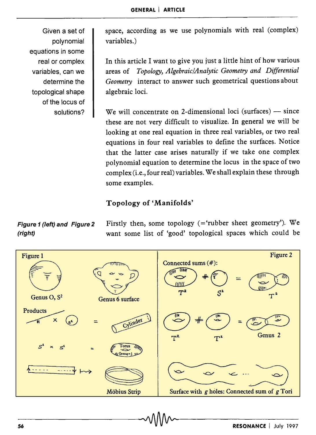Given a set of polynomial equations in some real or complex variables, can we determine the topological shape of the locus of solutions?

space, according as we use polynomials with real (complex) variables.)

In this article I want to give you just a little hint of how various areas of *Topology, Algebraic/Analytic Geometry and Differential Geometry* interact to answer such geometrical questions about algebraic loci.

We will concentrate on 2-dimensional loci (surfaces)  $-$  since these are not very difficult to visualize. In general we will be looking at one real equation in three real variables, or two real equations in four real variables to define the surfaces. Notice that the latter case arises naturally if we take one complex polynomial equation to determine the locus in the space of two complex (i.e., four real) variables. We shall explain these through some examples.

## Topology of 'Manifolds'

Figure 2 Figure 1 Genus O,  $S^2$ Connected sums (#): W = **WIE**  $\boldsymbol{T^2}$  $S^2$ Genus 6 surface  $=\frac{1}{\sqrt{\frac{2}{\pi}}}\sqrt{\frac{2}{\pi}}$  $r \text{oducts}$   $\times$   $s \text{d}$  = Products Cylinder Genus 2  $T^2$  $\mathbf{T}^{\mathbf{z}}$  $T$ orus  $\overline{\mathcal{U}}$  $\begin{array}{c} \begin{array}{c} \begin{array}{c} \text{if } \mathbb{R} \text{ is a } \\ \text{if } \mathbb{R} \end{array} \end{array} \end{array}$  $G$ enus=1 Wähins Strip  $\begin{picture}(180,170) \put(0,0){\line(1,0){155}} \put(10,0){\line(1,0){155}} \put(10,0){\line(1,0){155}} \put(10,0){\line(1,0){155}} \put(10,0){\line(1,0){155}} \put(10,0){\line(1,0){155}} \put(10,0){\line(1,0){155}} \put(10,0){\line(1,0){155}} \put(10,0){\line(1,0){155}} \put(10,0){\line(1,0){155}} \put(10,0){\line(1,0){155$  $\frac{1}{2} \frac{1}{2} \frac{1}{2} \frac{1}{2} \frac{1}{2} \frac{1}{2} \frac{1}{2} \frac{1}{2} \frac{1}{2}$  $\overline{a}$ .  $\overline{a}$ . Surface with *g* holes: Connected sum of *g* Tori **Möbius Strip** 

Figure 1 (left) and Figure 2 Firstly then, some topology  $($ ='rubber sheet geometry'). We (right) want some list of 'good' topological spaces which could be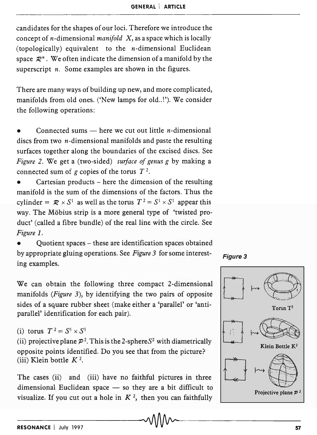candidates for the shapes of our loci. Therefore we introduce the concept of n-dimensional *manifold* X, as a space which is locally (topologically) equivalent to the *n*-dimensional Euclidean space  $\mathcal{R}^n$ . We often indicate the dimension of a manifold by the superscript *n*. Some examples are shown in the figures.

There are many ways of building up new, and more complicated, manifolds from old ones. ('New lamps for old..!'). We consider the following operations:

Connected sums  $-$  here we cut out little *n*-dimensional discs from two  $n$ -dimensional manifolds and paste the resulting surfaces together along the boundaries of the excised discs. See *Figure* 2. We get a (two-sided) *surface of genus g* by making a connected sum of  $g$  copies of the torus  $T^2$ .

Cartesian products – here the dimension of the resulting manifold is the sum of the dimensions of the factors. Thus the cylinder =  $\mathcal{R} \times S^1$  as well as the torus  $T^2 = S^1 \times S^1$  appear this way. The Möbius strip is a more general type of 'twisted product' (called a fibre bundle) of the real line with the circle. See *Figure 1.* 

• Quotient spaces - these are identification spaces obtained by appropriate gluing operations. See *Figure* 3 for some interesting examples.





We can obtain the following three compact 2-dimensional manifolds *(Figure* 3), by identifying the two pairs of opposite sides of a square rubber sheet (make either a 'parallel' or 'antiparallel' identification for each pair).

(i) torus  $T^2 = S^1 \times S^1$ 

(ii) projective plane  $\mathcal{P}^2$ . This is the 2-sphere  $S^2$  with diametrically opposite points identified. Do you see that from the picture? (iii) Klein bottle K *2.* 

The cases (ii) and (iii) have no faithful pictures in three dimensional Euclidean space  $-$  so they are a bit difficult to visualize. If you cut out a hole in  $K^2$ , then you can faithfully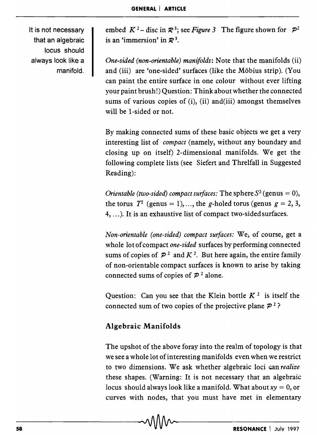It is not necessary that an algebraic locus should always look like a manifold.

embed  $K^2$ – disc in  $\mathcal{R}^3$ ; see *Figure* 3 The figure shown for  $\mathcal{P}^2$ is an 'immersion' in  $\mathbb{Z}^3$ .

*One-sided (non-orientable) manifolds:* Note that the manifolds (ii) and (iii) are 'one-sided' surfaces (like the Mobius strip). (You can paint the entire surface in one colour without ever lifting your paint brush!) Question: Think about whether the connected sums of various copies of (i), (ii) and(iii) amongst themselves will be I-sided or not.

By making connected sums of these basic objects we get a very interesting list of *compact* (namely, without any boundary and closing up on itself) 2-dimensional manifolds. We get the following complete lists (see Siefert and Threlfall in Suggested Reading):

*Orientable (two-sided) compact surfaces:* The sphere  $S^2$  (genus = 0), the torus  $T^2$  (genus = 1), ..., the g-holed torus (genus  $g = 2, 3$ , 4, ... ). It is an exhaustive list of compact two-sided surfaces.

*Non-orientable (one-sided) compact surfaces:* We, of course, get a whole lot of compact *one-sided* surfaces by performing connected sums of copies of  $P^2$  and  $K^2$ . But here again, the entire family of non-orientable compact surfaces is known to arise by taking connected sums of copies of  $P<sup>2</sup>$  alone.

Question: Can you see that the Klein bottle  $K^2$  is itself the connected sum of two copies of the projective plane  $\mathcal{P}^2$ ?

## Algebraic Manifolds

The upshot of the above foray into the realm of topology is that we see a whole lot of interesting manifolds even when we restrict to two dimensions. We ask whether algebraic loci Gan *realize*  these shapes. (Warning: It is not necessary that an algebraic locus should always look like a manifold. What about  $xy = 0$ , or curves with nodes, that you must have met in elementary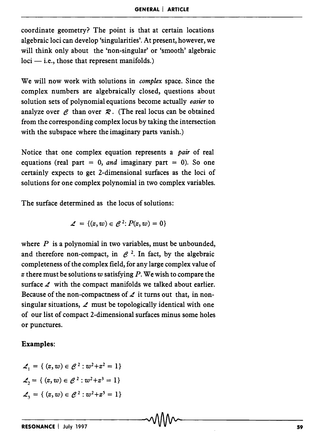coordinate geometry? The point is that at certain locations algebraic loci can develop 'singularities'. At present, however, we will think only about the 'non-singular' or 'smooth' algebraic  $loci$  - i.e., those that represent manifolds.)

We will now work with solutions in *complex* space. Since the complex numbers are algebraically closed, questions about solution sets of polynomial equations become actually *easier* to analyze over  $\ell$  than over  $\mathcal{R}$ . (The real locus can be obtained from the corresponding complex locus by taking the intersection with the subspace where the imaginary parts vanish.)

Notice that one complex equation represents a *pair* of real equations (real part  $= 0$ , *and* imaginary part  $= 0$ ). So one certainly expects to get 2-dimensional surfaces as the loci of solutions for one complex polynomial in two complex variables.

The surface determined as the locus of solutions:

$$
\mathcal{L} = \{(z,w) \in \mathcal{C}^2 : P(z,w) = 0\}
$$

where  $P$  is a polynomial in two variables, must be unbounded, and therefore non-compact, in  $e^2$ . In fact, by the algebraic completeness of the complex field, for any large complex value of z there must be solutions w satisfying  $P$ . We wish to compare the surface  $\angle$  with the compact manifolds we talked about earlier. Because of the non-compactness of  $\angle$  it turns out that, in nonsingular situations,  $\angle$  must be topologically identical with one of our list of compact 2-dimensional surfaces minus some holes or punctures.

#### Examples:

$$
\mathcal{L}_1 = \{ (z, w) \in \mathcal{C}^2 : w^2 + z^2 = 1 \}
$$

$$
\mathcal{L}_2 = \{ (z, w) \in \mathcal{C}^2 : w^2 + z^3 = 1 \}
$$

$$
\mathcal{L}_3 = \{ (z, w) \in \mathcal{C}^2 : w^2 + z^5 = 1 \}
$$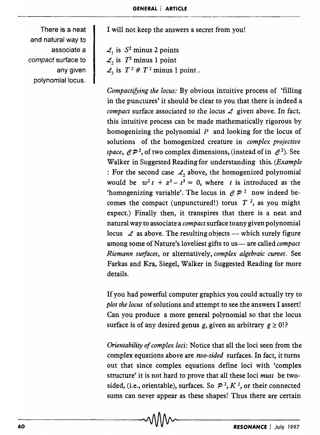There is a neat and natural way to associate a compact surface to any given polynomial locus.

I will not keep the answers a secret from you!

 $\mathcal{L}_1$  is  $S^2$  minus 2 points  $\mathcal{L}_2$  is  $T^2$  minus 1 point  $\mathcal{L}_3$  is  $T^2 \# T^2$  minus 1 point.

*Compactifying the locus:* By obvious intuitive process of 'filling in the punctures' it should be clear to you that there is indeed a *compact* surface associated to the *locus L* given above. In fact, this intuitive process can be made mathematically rigorous by homogenizing the polynomial *P* and looking for the locus of solutions of the homogenized creature in *complex projective space,*  $\mathcal{CP}^2$ *, of two complex dimensions, (instead of in*  $\mathcal{C}^2$ *). See* Walker in Suggested Reading for understanding this. *(Example*  : For the second case  $\mathcal{L}_2$  above, the homogenized polynomial would be  $w^2 t + z^3 - t^3 = 0$ , where *t* is introduced as the 'homogenizing variable'. The locus in  $\mathscr{C}P^2$  now indeed becomes the compact (unpunctured!) torus  $T<sup>2</sup>$ , as you might expect.) Finally then, it transpires that there is a neat and natural way to associate a *compact* surface toany given polynomial locus  $\mathcal L$  as above. The resulting objects — which surely figure among some of Nature's loveliest gifts to us-are called *compact Riemann surfaces,* or alternatively, *complex algebraic curves.* See Farkas and Kra, Siegel, Walker in Suggested Reading for more details.

If you had powerful computer graphics you could actually try to *plot the locus* of solutions and attempt to see the answers I assert! Can you produce a more general polynomial so that the locus surface is of any desired genus g, given an arbitrary  $g \ge 0$ !?

*Orientability of complex loci:* Notice that all the loci seen from the complex equations above are *two-sided* surfaces. In fact, it turns out that since complex equations define loci with 'complex structure' it is not hard to prove that all these loci *must* be twosided, (i.e., orientable), surfaces. So  $\mathcal{P}^2$ ,  $K^2$ , or their connected sums can never appear as these shapes! Thus there are certain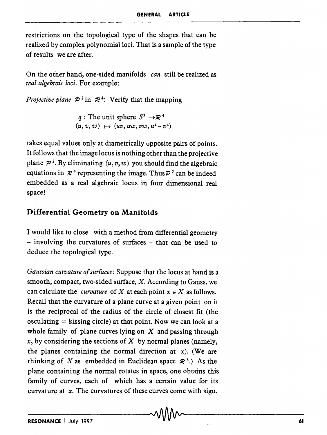restrictions on the topological type of the shapes that can be realized by complex polynomial loci. That is a sample of the type of results we are after.

On the other hand, one-sided manifolds *can* still be realized as *real algebraic loci.* For example:

*Projective plane*  $P^2$  in  $\mathcal{R}^4$ : Verify that the mapping

*q* : The unit sphere  $S^2 \rightarrow \mathbb{R}^4$  $(u, v, w) \mapsto (uv, uv, vw, u^2 - v^2)$ 

takes equal values only at diametrically opposite pairs of points. It follows that the image locus is nothing other than the projective plane  $\mathcal{P}^2$ . By eliminating  $(u, v, w)$  you should find the algebraic equations in  $\mathcal{R}^4$  representing the image. Thus  $\mathcal{P}^2$  can be indeed embedded as a real algebraic locus in four dimensional real space!

#### **Differential Geometry on Manifolds**

I would like to close with a method from differential geometry  $-$  involving the curvatures of surfaces  $-$  that can be used to deduce the topological type.

*Gaussian curvature of surfaces:* Suppose that the locus at hand is a smooth, compact, two-sided surface, X. According to Gauss, we can calculate the *curvature* of X at each point  $x \in X$  as follows. Recall that the curvature of a plane curve at a given point on it is the reciprocal of the radius of the circle of closest fit (the osculating  $=$  kissing circle) at that point. Now we can look at a whole family of plane curves lying on  $X$  and passing through  $x$ , by considering the sections of  $X$  by normal planes (namely, the planes containing the normal direction at  $x$ ). (We are thinking of X as embedded in Euclidean space  $\mathcal{R}^3$ .) As the plane containing the normal rotates in space, one obtains this family of curves, each of which has a certain value for its curvature at *x.* The curvatures of these curves come with sign.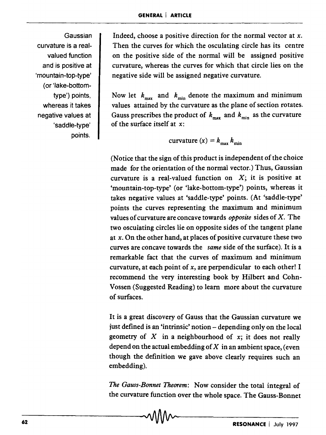Gaussian curvature is a realvalued function and is positive at 'mountain-top-type' (or'lake-bottomtype') points, whereas it takes negative values at 'saddle-type' points.

Indeed, choose a positive direction for the normal vector at *x.*  Then the curves for which the osculating circle has its centre on the positive side of the normal will be assigned positive curvature, whereas the curves for which that circle lies on the negative side will be assigned negative curvature.

Now let  $k_{\text{max}}$  and  $k_{\text{min}}$  denote the maximum and minimum values attained by the curvature as the plane of section rotates. Gauss prescribes the product of  $k_{\text{max}}$  and  $k_{\text{min}}$  as the curvature of the surface itself at *x:* 

curvature 
$$
(x) = k_{\text{max}} k_{\text{min}}
$$

(Notice that the sign of this product is independent of the choice made for the orientation of the normal vector.) Thus, Gaussian curvature is a real-valued function on  $X$ ; it is positive at 'mountain-top~type' (or 'lake-bottom-type') points, whereas it takes negative values at 'saddle-type' points. (At 'saddle-type' points the curves representing the maximum and minimum values of curvature are concave towards *opposite* sides of X. The two osculating circles lie on opposite sides of the tangent plane at *x.* On the other hand, at places of positive curvature these two curves are concave towards the *same* side of the surface). It is a remarkable fact that the curves of maximum and minimum curvature, at each point of *x,* are perpendicular to each other! I recommend the very interesting book by Hilbert and Cohn-Vossen (Suggested Reading) to learn more about the curvature of surfaces.

It is a great discovery of Gauss that the Gaussian curvature we just defined is an 'intrinsic' notion - depending only on the local geometry of  $X$  in a neighbourhood of  $x$ ; it does not really depend on the actual embedding of  $X$  in an ambient space, (even though the definition we gave above clearly requires such an embedding).

*The Gauss-Bonnet Theorem:* Now consider the total integral of the curvature function over the whole space. The Gauss-Bonnet